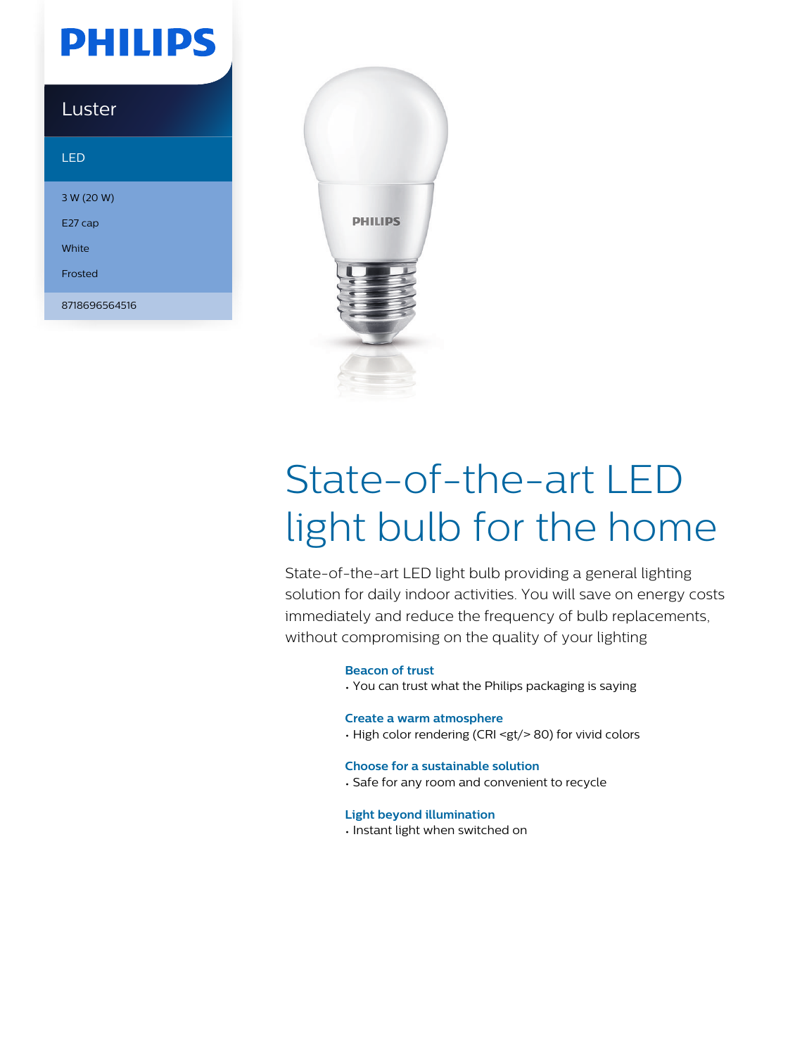# **PHILIPS**

# Luster

# LED

3 W (20 W) E27 cap White Frosted

8718696564516



# State-of-the-art LED light bulb for the home

State-of-the-art LED light bulb providing a general lighting solution for daily indoor activities. You will save on energy costs immediately and reduce the frequency of bulb replacements, without compromising on the quality of your lighting

# **Beacon of trust**

• You can trust what the Philips packaging is saying

## **Create a warm atmosphere**

• High color rendering (CRI <gt/> 80) for vivid colors

# **Choose for a sustainable solution**

• Safe for any room and convenient to recycle

# **Light beyond illumination**

• Instant light when switched on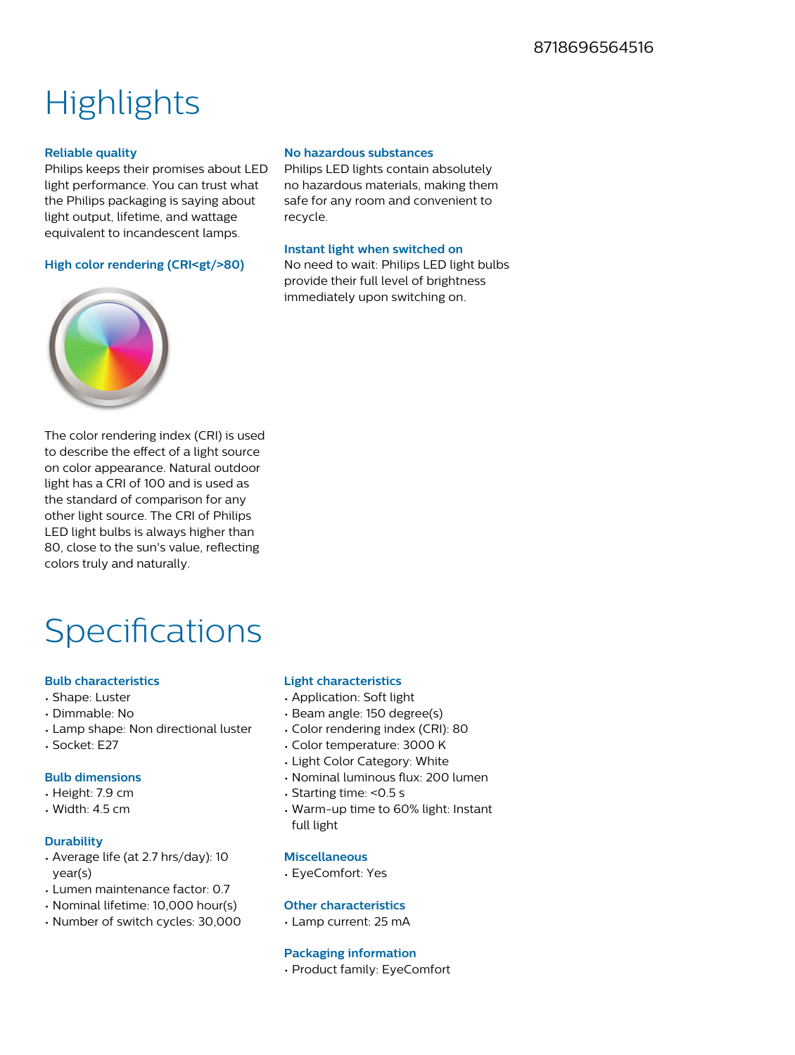# **Highlights**

# **Reliable quality**

Philips keeps their promises about LED light performance. You can trust what the Philips packaging is saying about light output, lifetime, and wattage equivalent to incandescent lamps.

# **High color rendering (CRI<gt/>80)**

## **No hazardous substances**

Philips LED lights contain absolutely no hazardous materials, making them safe for any room and convenient to recycle.

# **Instant light when switched on**

No need to wait: Philips LED light bulbs provide their full level of brightness immediately upon switching on.



The color rendering index (CRI) is used to describe the effect of a light source on color appearance. Natural outdoor light has a CRI of 100 and is used as the standard of comparison for any other light source. The CRI of Philips LED light bulbs is always higher than 80, close to the sun's value, reflecting colors truly and naturally.

# Specifications

# **Bulb characteristics**

- Shape: Luster
- Dimmable: No
- Lamp shape: Non directional luster
- Socket: E27

# **Bulb dimensions**

- Height: 7.9 cm
- Width: 4.5 cm

# **Durability**

- Average life (at 2.7 hrs/day): 10 year(s)
- Lumen maintenance factor: 0.7
- Nominal lifetime: 10,000 hour(s)
- Number of switch cycles: 30,000

# **Light characteristics**

- Application: Soft light
- Beam angle: 150 degree(s)
- Color rendering index (CRI): 80
- Color temperature: 3000 K
- Light Color Category: White
- Nominal luminous flux: 200 lumen
- Starting time: <0.5 s
- Warm-up time to 60% light: Instant full light

## **Miscellaneous**

• EyeComfort: Yes

# **Other characteristics**

• Lamp current: 25 mA

## **Packaging information**

• Product family: EyeComfort